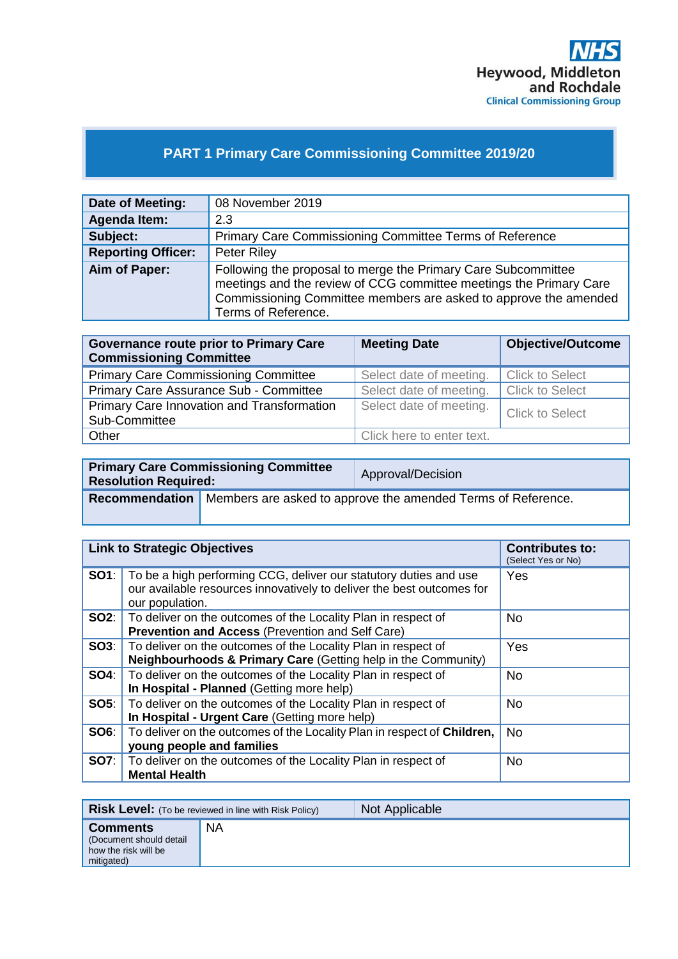

## **PART 1 Primary Care Commissioning Committee 2019/20**

| Date of Meeting:          | 08 November 2019                                                                                                                                                                                                               |
|---------------------------|--------------------------------------------------------------------------------------------------------------------------------------------------------------------------------------------------------------------------------|
| <b>Agenda Item:</b>       | 2.3                                                                                                                                                                                                                            |
| Subject:                  | Primary Care Commissioning Committee Terms of Reference                                                                                                                                                                        |
| <b>Reporting Officer:</b> | Peter Riley                                                                                                                                                                                                                    |
| Aim of Paper:             | Following the proposal to merge the Primary Care Subcommittee<br>meetings and the review of CCG committee meetings the Primary Care<br>Commissioning Committee members are asked to approve the amended<br>Terms of Reference. |

| <b>Governance route prior to Primary Care</b><br><b>Commissioning Committee</b> | <b>Meeting Date</b>       | <b>Objective/Outcome</b> |
|---------------------------------------------------------------------------------|---------------------------|--------------------------|
| <b>Primary Care Commissioning Committee</b>                                     | Select date of meeting.   | <b>Click to Select</b>   |
| Primary Care Assurance Sub - Committee                                          | Select date of meeting.   | <b>Click to Select</b>   |
| Primary Care Innovation and Transformation<br>Sub-Committee                     | Select date of meeting.   | <b>Click to Select</b>   |
| Other                                                                           | Click here to enter text. |                          |

| <b>Primary Care Commissioning Committee</b><br><b>Resolution Required:</b> |                                                                                    | Approval/Decision |
|----------------------------------------------------------------------------|------------------------------------------------------------------------------------|-------------------|
|                                                                            | <b>Recommendation</b> Members are asked to approve the amended Terms of Reference. |                   |

|      | <b>Link to Strategic Objectives</b>                                                                                                                                        | <b>Contributes to:</b><br>(Select Yes or No) |
|------|----------------------------------------------------------------------------------------------------------------------------------------------------------------------------|----------------------------------------------|
|      | <b>SO1</b> : To be a high performing CCG, deliver our statutory duties and use<br>our available resources innovatively to deliver the best outcomes for<br>our population. | Yes                                          |
|      | <b>SO2:</b> To deliver on the outcomes of the Locality Plan in respect of<br><b>Prevention and Access (Prevention and Self Care)</b>                                       | No.                                          |
| SO3: | To deliver on the outcomes of the Locality Plan in respect of<br>Neighbourhoods & Primary Care (Getting help in the Community)                                             | Yes                                          |
|      | <b>SO4:</b> To deliver on the outcomes of the Locality Plan in respect of<br>In Hospital - Planned (Getting more help)                                                     | <b>No</b>                                    |
|      | <b>SO5:</b> To deliver on the outcomes of the Locality Plan in respect of<br>In Hospital - Urgent Care (Getting more help)                                                 | <b>No</b>                                    |
| SO6: | To deliver on the outcomes of the Locality Plan in respect of Children,<br>young people and families                                                                       | <b>No</b>                                    |
| SO7: | To deliver on the outcomes of the Locality Plan in respect of<br><b>Mental Health</b>                                                                                      | <b>No</b>                                    |

|                                                                                  | <b>Risk Level:</b> (To be reviewed in line with Risk Policy) | Not Applicable |
|----------------------------------------------------------------------------------|--------------------------------------------------------------|----------------|
| <b>Comments</b><br>(Document should detail<br>how the risk will be<br>mitigated) | ΝA                                                           |                |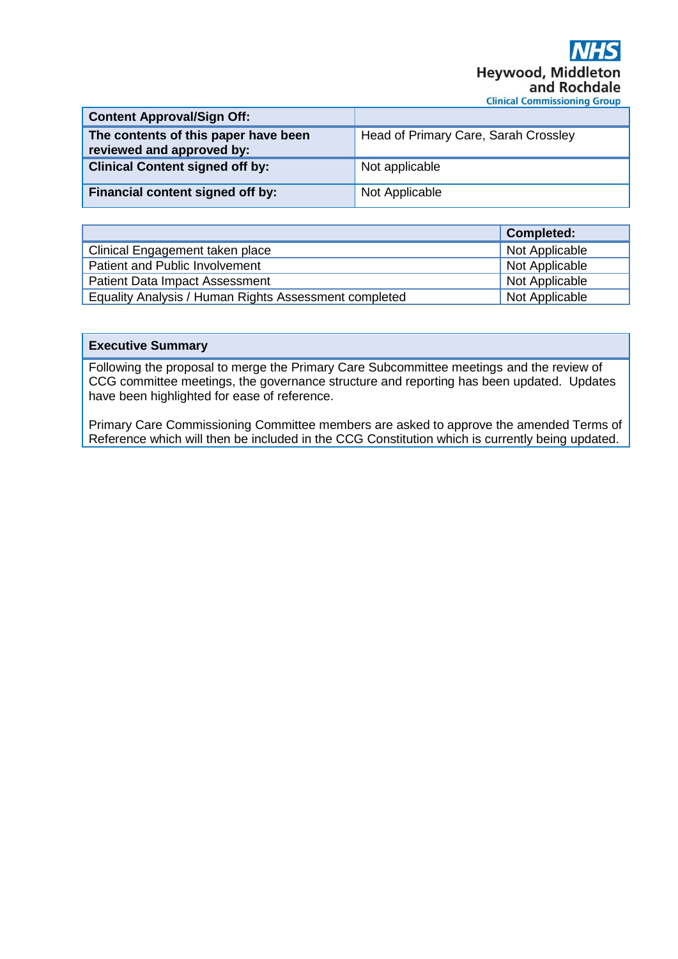| <b>Content Approval/Sign Off:</b>                                 |                                      |
|-------------------------------------------------------------------|--------------------------------------|
| The contents of this paper have been<br>reviewed and approved by: | Head of Primary Care, Sarah Crossley |
| <b>Clinical Content signed off by:</b>                            | Not applicable                       |
| Financial content signed off by:                                  | Not Applicable                       |

|                                                       | Completed:     |
|-------------------------------------------------------|----------------|
| Clinical Engagement taken place                       | Not Applicable |
| Patient and Public Involvement                        | Not Applicable |
| <b>Patient Data Impact Assessment</b>                 | Not Applicable |
| Equality Analysis / Human Rights Assessment completed | Not Applicable |

## **Executive Summary**

Following the proposal to merge the Primary Care Subcommittee meetings and the review of CCG committee meetings, the governance structure and reporting has been updated. Updates have been highlighted for ease of reference.

Primary Care Commissioning Committee members are asked to approve the amended Terms of Reference which will then be included in the CCG Constitution which is currently being updated.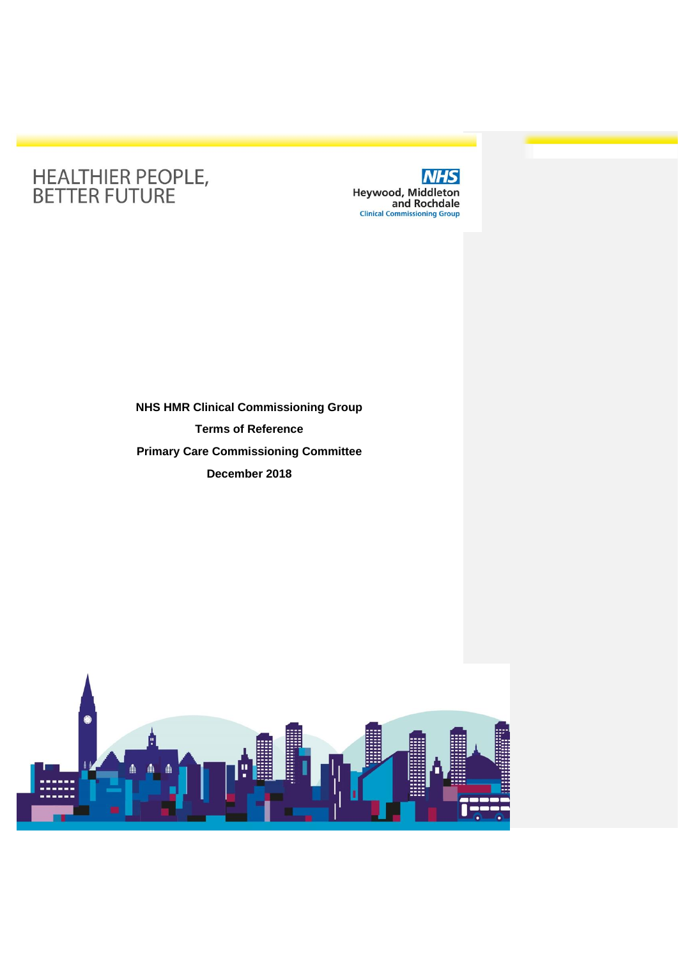# HEALTHIER PEOPLE,<br>BETTER FUTURE



# **NHS HMR Clinical Commissioning Group Terms of Reference Primary Care Commissioning Committee December 2018**

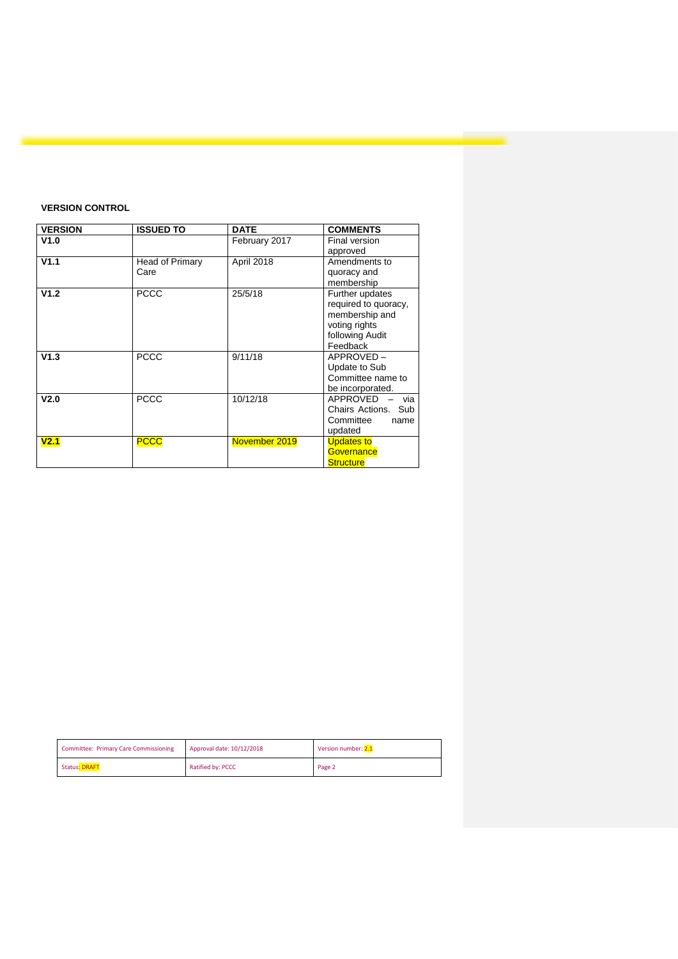### **VERSION CONTROL**

| <b>VERSION</b>   | <b>ISSUED TO</b>        | <b>DATE</b>   | <b>COMMENTS</b>                                                                                           |
|------------------|-------------------------|---------------|-----------------------------------------------------------------------------------------------------------|
| V1.0             |                         | February 2017 | Final version<br>approved                                                                                 |
| V1.1             | Head of Primary<br>Care | April 2018    | Amendments to<br>quoracy and<br>membership                                                                |
| V1.2             | <b>PCCC</b>             | 25/5/18       | Further updates<br>required to quoracy,<br>membership and<br>voting rights<br>following Audit<br>Feedback |
| V1.3             | <b>PCCC</b>             | 9/11/18       | APPROVED-<br>Update to Sub<br>Committee name to<br>be incorporated.                                       |
| V <sub>2.0</sub> | <b>PCCC</b>             | 10/12/18      | APPROVED<br>via<br>Chairs Actions. Sub<br>Committee<br>name<br>updated                                    |
| V <sub>2.1</sub> | <b>PCCC</b>             | November 2019 | <b>Updates to</b><br>Governance<br><b>Structure</b>                                                       |

| <b>Committee: Primary Care Commissioning</b> | Approval date: 10/12/2018 | Version number: 2.1 |
|----------------------------------------------|---------------------------|---------------------|
| <b>Status: DRAFT</b>                         | Ratified by: PCCC         | Page 2              |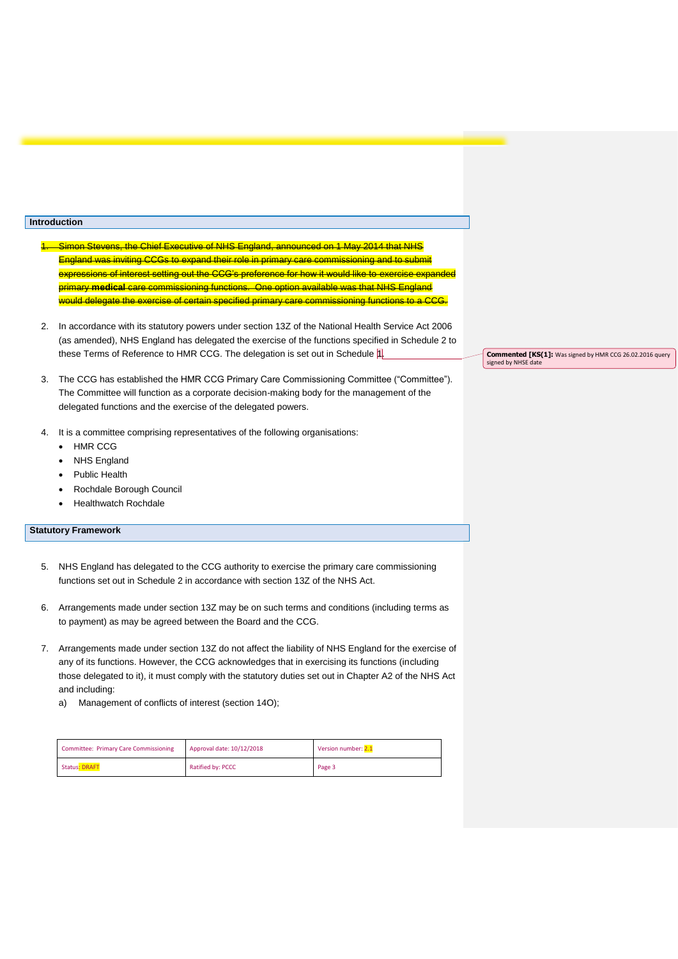#### **Introduction**

- wens, the Chief Executive of NHS England, announced on 1 May 2014 that NHS England was inviting CCGs to expand their role in primary care commissioning and to submit expressions of interest setting out the CCG's preference for how it would like to exercise expanded primary **medical** care commissioning functions. One option available was that NHS England would delegate the exercise of certain specified primary care commissioning functions to a CCG.
- 2. In accordance with its statutory powers under section 13Z of the National Health Service Act 2006 (as amended), NHS England has delegated the exercise of the functions specified in Schedule 2 to these Terms of Reference to HMR CCG. The delegation is set out in Schedule 1.
- 3. The CCG has established the HMR CCG Primary Care Commissioning Committee ("Committee"). The Committee will function as a corporate decision-making body for the management of the delegated functions and the exercise of the delegated powers.
- 4. It is a committee comprising representatives of the following organisations:
	- HMR CCG
	- **NHS England**
	- Public Health
	- Rochdale Borough Council
	- Healthwatch Rochdale

#### **Statutory Framework**

- 5. NHS England has delegated to the CCG authority to exercise the primary care commissioning functions set out in Schedule 2 in accordance with section 13Z of the NHS Act.
- 6. Arrangements made under section 13Z may be on such terms and conditions (including terms as to payment) as may be agreed between the Board and the CCG.
- 7. Arrangements made under section 13Z do not affect the liability of NHS England for the exercise of any of its functions. However, the CCG acknowledges that in exercising its functions (including those delegated to it), it must comply with the statutory duties set out in Chapter A2 of the NHS Act and including:
	- a) Management of conflicts of interest (section 14O);

| <b>Committee: Primary Care Commissioning</b> | Approval date: 10/12/2018 | Version number: 2.1 |
|----------------------------------------------|---------------------------|---------------------|
| <b>Status: DRAFT</b>                         | Ratified by: PCCC         | Page 3              |

**Commented [KS(1]:** Was signed by HMR CCG 26.02.2016 query signed by NHSE date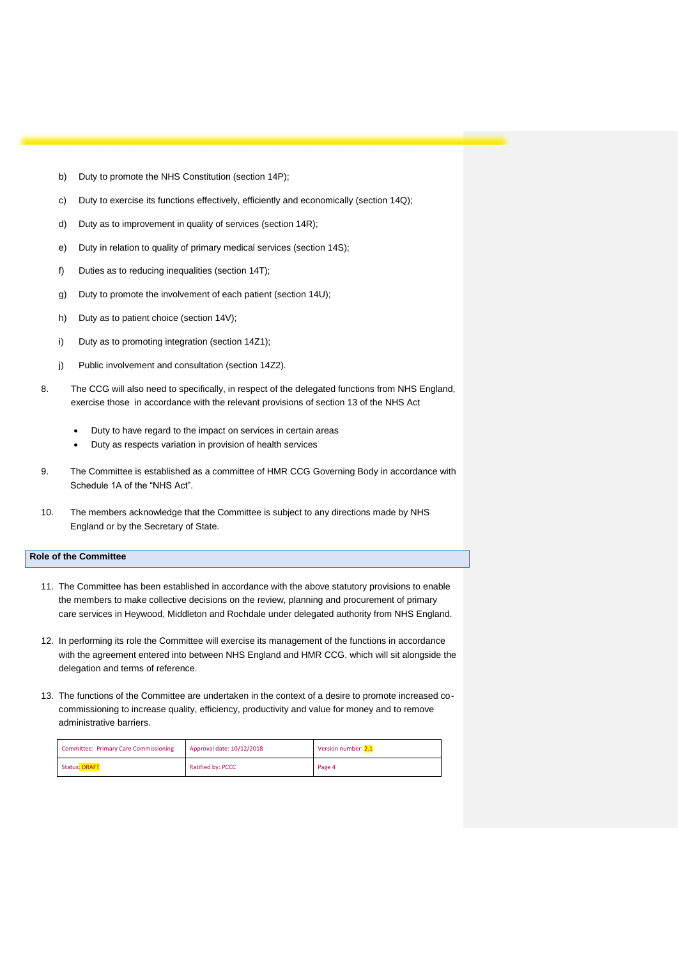- b) Duty to promote the NHS Constitution (section 14P);
- c) Duty to exercise its functions effectively, efficiently and economically (section 14Q);
- d) Duty as to improvement in quality of services (section 14R);
- e) Duty in relation to quality of primary medical services (section 14S);
- f) Duties as to reducing inequalities (section 14T);
- g) Duty to promote the involvement of each patient (section 14U);
- h) Duty as to patient choice (section 14V);
- i) Duty as to promoting integration (section 14Z1);
- j) Public involvement and consultation (section 14Z2).
- 8. The CCG will also need to specifically, in respect of the delegated functions from NHS England, exercise those in accordance with the relevant provisions of section 13 of the NHS Act
	- Duty to have regard to the impact on services in certain areas
	- Duty as respects variation in provision of health services
- 9. The Committee is established as a committee of HMR CCG Governing Body in accordance with Schedule 1A of the "NHS Act".
- 10. The members acknowledge that the Committee is subject to any directions made by NHS England or by the Secretary of State.

#### **Role of the Committee**

- 11. The Committee has been established in accordance with the above statutory provisions to enable the members to make collective decisions on the review, planning and procurement of primary care services in Heywood, Middleton and Rochdale under delegated authority from NHS England.
- 12. In performing its role the Committee will exercise its management of the functions in accordance with the agreement entered into between NHS England and HMR CCG, which will sit alongside the delegation and terms of reference.
- 13. The functions of the Committee are undertaken in the context of a desire to promote increased cocommissioning to increase quality, efficiency, productivity and value for money and to remove administrative barriers.

| <b>Committee: Primary Care Commissioning</b> | Approval date: 10/12/2018 | Version number: 2.1 |
|----------------------------------------------|---------------------------|---------------------|
| <b>Status: DRAFT</b>                         | Ratified by: PCCC         | Page 4              |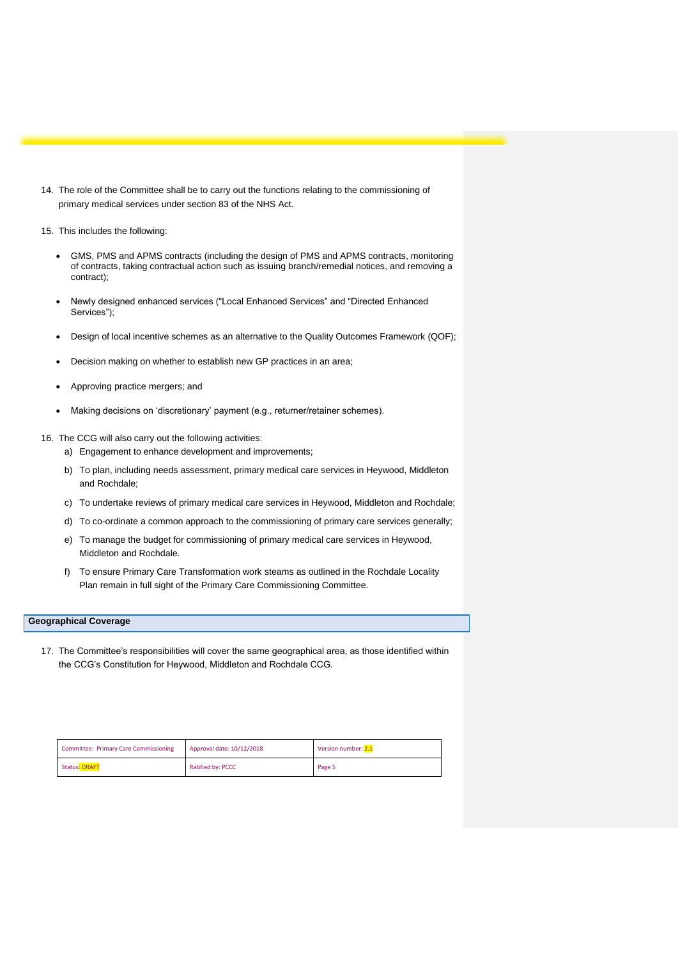- 14. The role of the Committee shall be to carry out the functions relating to the commissioning of primary medical services under section 83 of the NHS Act.
- 15. This includes the following:
	- GMS, PMS and APMS contracts (including the design of PMS and APMS contracts, monitoring of contracts, taking contractual action such as issuing branch/remedial notices, and removing a contract);
	- Newly designed enhanced services ("Local Enhanced Services" and "Directed Enhanced Services");
	- Design of local incentive schemes as an alternative to the Quality Outcomes Framework (QOF);
	- Decision making on whether to establish new GP practices in an area;
	- Approving practice mergers; and
	- Making decisions on 'discretionary' payment (e.g., returner/retainer schemes).

16. The CCG will also carry out the following activities:

- a) Engagement to enhance development and improvements;
- b) To plan, including needs assessment, primary medical care services in Heywood, Middleton and Rochdale;
- c) To undertake reviews of primary medical care services in Heywood, Middleton and Rochdale;
- d) To co-ordinate a common approach to the commissioning of primary care services generally;
- e) To manage the budget for commissioning of primary medical care services in Heywood, Middleton and Rochdale.
- f) To ensure Primary Care Transformation work steams as outlined in the Rochdale Locality Plan remain in full sight of the Primary Care Commissioning Committee.

#### **Geographical Coverage**

17. The Committee's responsibilities will cover the same geographical area, as those identified within the CCG's Constitution for Heywood, Middleton and Rochdale CCG.

| <b>Committee: Primary Care Commissioning</b> | Approval date: 10/12/2018 | Version number: 2.1 |
|----------------------------------------------|---------------------------|---------------------|
| <b>Status: DRAFT</b>                         | Ratified by: PCCC         | Page 5              |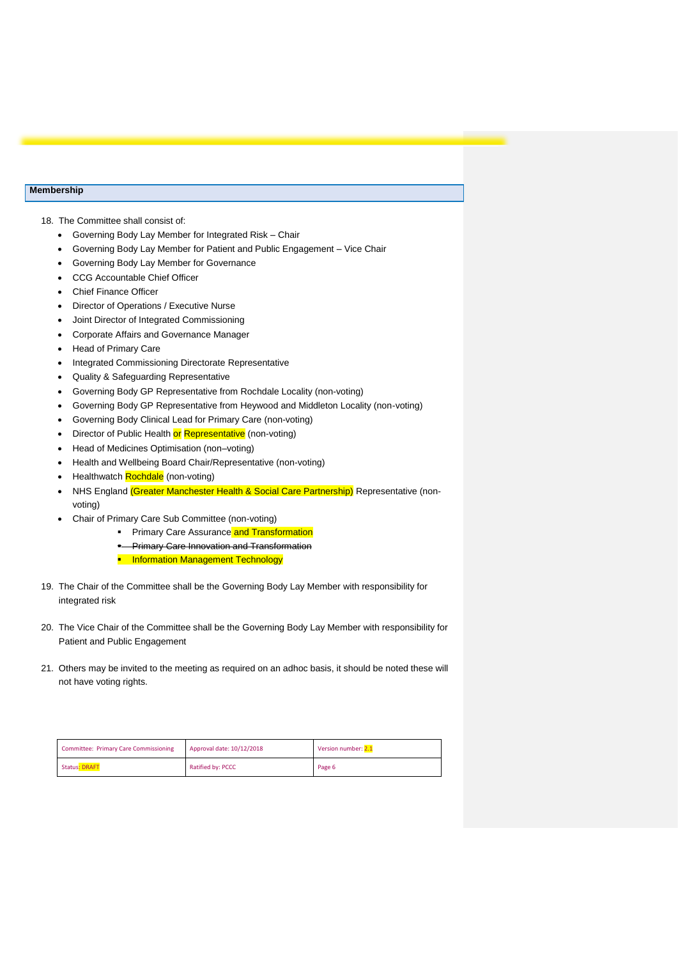#### **Membership**

18. The Committee shall consist of:

- Governing Body Lay Member for Integrated Risk Chair
- Governing Body Lay Member for Patient and Public Engagement Vice Chair
- Governing Body Lay Member for Governance
- CCG Accountable Chief Officer
- **Chief Finance Officer**
- Director of Operations / Executive Nurse
- Joint Director of Integrated Commissioning
- Corporate Affairs and Governance Manager
- Head of Primary Care
- Integrated Commissioning Directorate Representative
- Quality & Safeguarding Representative
- Governing Body GP Representative from Rochdale Locality (non-voting)
- Governing Body GP Representative from Heywood and Middleton Locality (non-voting)
- Governing Body Clinical Lead for Primary Care (non-voting)
- Director of Public Health or Representative (non-voting)
- Head of Medicines Optimisation (non–voting)
- Health and Wellbeing Board Chair/Representative (non-voting)
- Healthwatch **Rochdale** (non-voting)
- NHS England (Greater Manchester Health & Social Care Partnership) Representative (nonvoting)
- Chair of Primary Care Sub Committee (non-voting)
	- **•** Primary Care Assurance and Transformation
	- Primary Care Innovation and Transformation
	- **Information Management Technology**
- 19. The Chair of the Committee shall be the Governing Body Lay Member with responsibility for integrated risk
- 20. The Vice Chair of the Committee shall be the Governing Body Lay Member with responsibility for Patient and Public Engagement
- 21. Others may be invited to the meeting as required on an adhoc basis, it should be noted these will not have voting rights.

| <b>Committee: Primary Care Commissioning</b> | Approval date: 10/12/2018 | Version number: 2.1 |
|----------------------------------------------|---------------------------|---------------------|
| <b>Status: DRAFT</b>                         | Ratified by: PCCC         | Page 6              |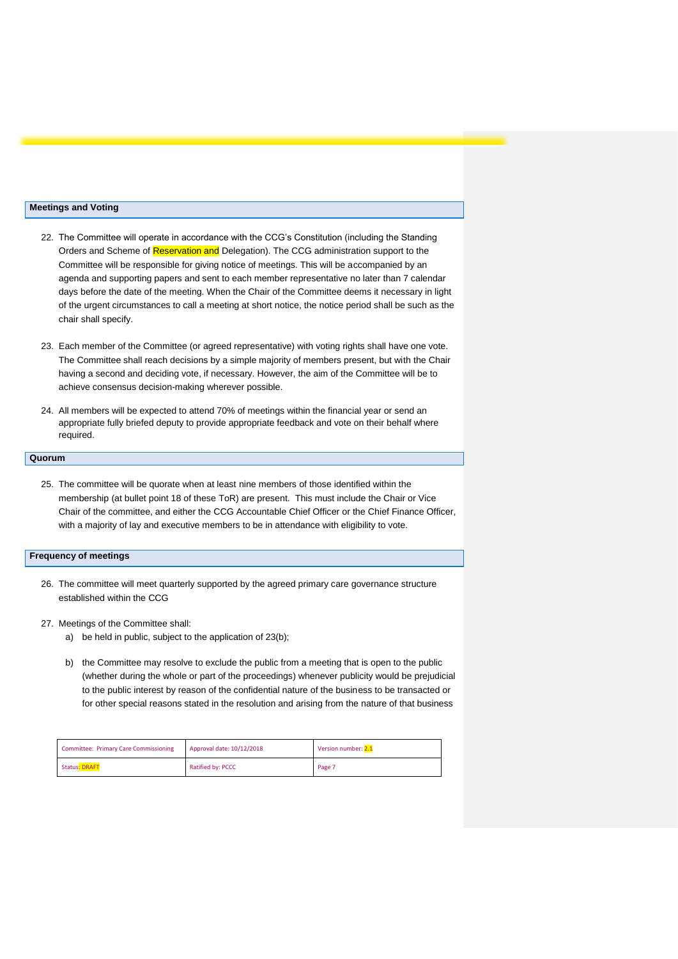#### **Meetings and Voting**

- 22. The Committee will operate in accordance with the CCG's Constitution (including the Standing Orders and Scheme of Reservation and Delegation). The CCG administration support to the Committee will be responsible for giving notice of meetings. This will be accompanied by an agenda and supporting papers and sent to each member representative no later than 7 calendar days before the date of the meeting. When the Chair of the Committee deems it necessary in light of the urgent circumstances to call a meeting at short notice, the notice period shall be such as the chair shall specify.
- 23. Each member of the Committee (or agreed representative) with voting rights shall have one vote. The Committee shall reach decisions by a simple majority of members present, but with the Chair having a second and deciding vote, if necessary. However, the aim of the Committee will be to achieve consensus decision-making wherever possible.
- 24. All members will be expected to attend 70% of meetings within the financial year or send an appropriate fully briefed deputy to provide appropriate feedback and vote on their behalf where required.

#### **Quorum**

25. The committee will be quorate when at least nine members of those identified within the membership (at bullet point 18 of these ToR) are present. This must include the Chair or Vice Chair of the committee, and either the CCG Accountable Chief Officer or the Chief Finance Officer, with a majority of lay and executive members to be in attendance with eligibility to vote.

#### **Frequency of meetings**

26. The committee will meet quarterly supported by the agreed primary care governance structure established within the CCG

#### 27. Meetings of the Committee shall:

- a) be held in public, subject to the application of 23(b);
- b) the Committee may resolve to exclude the public from a meeting that is open to the public (whether during the whole or part of the proceedings) whenever publicity would be prejudicial to the public interest by reason of the confidential nature of the business to be transacted or for other special reasons stated in the resolution and arising from the nature of that business

| <b>Committee: Primary Care Commissioning</b> | Approval date: 10/12/2018 | Version number: 2.1 |
|----------------------------------------------|---------------------------|---------------------|
| Status: DRAFT                                | Ratified by: PCCC         | Page 7              |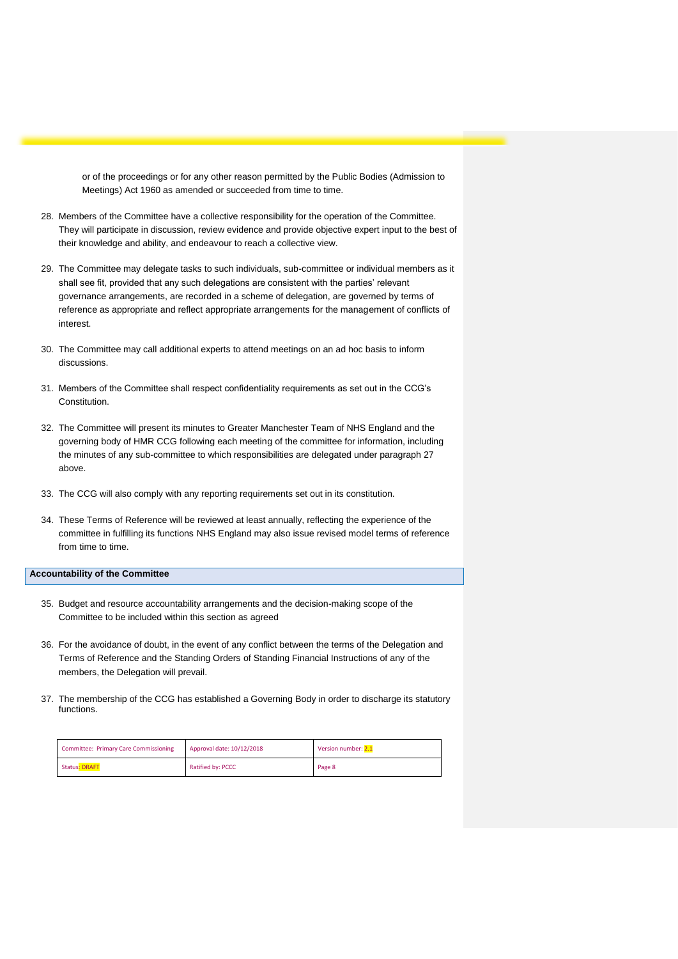or of the proceedings or for any other reason permitted by the Public Bodies (Admission to Meetings) Act 1960 as amended or succeeded from time to time.

- 28. Members of the Committee have a collective responsibility for the operation of the Committee. They will participate in discussion, review evidence and provide objective expert input to the best of their knowledge and ability, and endeavour to reach a collective view.
- 29. The Committee may delegate tasks to such individuals, sub-committee or individual members as it shall see fit, provided that any such delegations are consistent with the parties' relevant governance arrangements, are recorded in a scheme of delegation, are governed by terms of reference as appropriate and reflect appropriate arrangements for the management of conflicts of interest.
- 30. The Committee may call additional experts to attend meetings on an ad hoc basis to inform discussions.
- 31. Members of the Committee shall respect confidentiality requirements as set out in the CCG's Constitution.
- 32. The Committee will present its minutes to Greater Manchester Team of NHS England and the governing body of HMR CCG following each meeting of the committee for information, including the minutes of any sub-committee to which responsibilities are delegated under paragraph 27 above.
- 33. The CCG will also comply with any reporting requirements set out in its constitution.
- 34. These Terms of Reference will be reviewed at least annually, reflecting the experience of the committee in fulfilling its functions NHS England may also issue revised model terms of reference from time to time.

#### **Accountability of the Committee**

- 35. Budget and resource accountability arrangements and the decision-making scope of the Committee to be included within this section as agreed
- 36. For the avoidance of doubt, in the event of any conflict between the terms of the Delegation and Terms of Reference and the Standing Orders of Standing Financial Instructions of any of the members, the Delegation will prevail.
- 37. The membership of the CCG has established a Governing Body in order to discharge its statutory functions.

| <b>Committee: Primary Care Commissioning</b> | Approval date: 10/12/2018 | Version number: 2.1 |
|----------------------------------------------|---------------------------|---------------------|
| <b>Status: DRAFT</b>                         | Ratified by: PCCC         | Page 8              |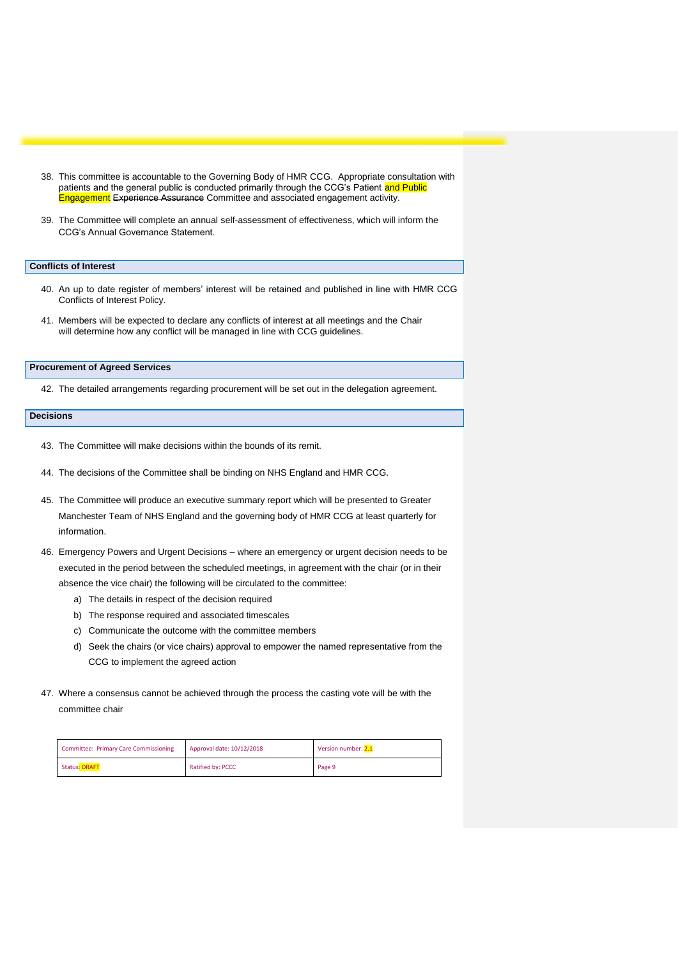- 38. This committee is accountable to the Governing Body of HMR CCG. Appropriate consultation with patients and the general public is conducted primarily through the CCG's Patient and Public Engagement Experience Assurance Committee and associated engagement activity.
- 39. The Committee will complete an annual self-assessment of effectiveness, which will inform the CCG's Annual Governance Statement.

#### **Conflicts of Interest**

- 40. An up to date register of members' interest will be retained and published in line with HMR CCG Conflicts of Interest Policy.
- 41. Members will be expected to declare any conflicts of interest at all meetings and the Chair will determine how any conflict will be managed in line with CCG guidelines.

#### **Procurement of Agreed Services**

42. The detailed arrangements regarding procurement will be set out in the delegation agreement.

#### **Decisions**

- 43. The Committee will make decisions within the bounds of its remit.
- 44. The decisions of the Committee shall be binding on NHS England and HMR CCG.
- 45. The Committee will produce an executive summary report which will be presented to Greater Manchester Team of NHS England and the governing body of HMR CCG at least quarterly for information.
- 46. Emergency Powers and Urgent Decisions where an emergency or urgent decision needs to be executed in the period between the scheduled meetings, in agreement with the chair (or in their absence the vice chair) the following will be circulated to the committee:
	- a) The details in respect of the decision required
	- b) The response required and associated timescales
	- c) Communicate the outcome with the committee members
	- d) Seek the chairs (or vice chairs) approval to empower the named representative from the CCG to implement the agreed action
- 47. Where a consensus cannot be achieved through the process the casting vote will be with the committee chair

| <b>Committee: Primary Care Commissioning</b> | Approval date: 10/12/2018 | Version number: 2.1 |
|----------------------------------------------|---------------------------|---------------------|
| <b>Status: DRAFT</b>                         | Ratified by: PCCC         | Page 9              |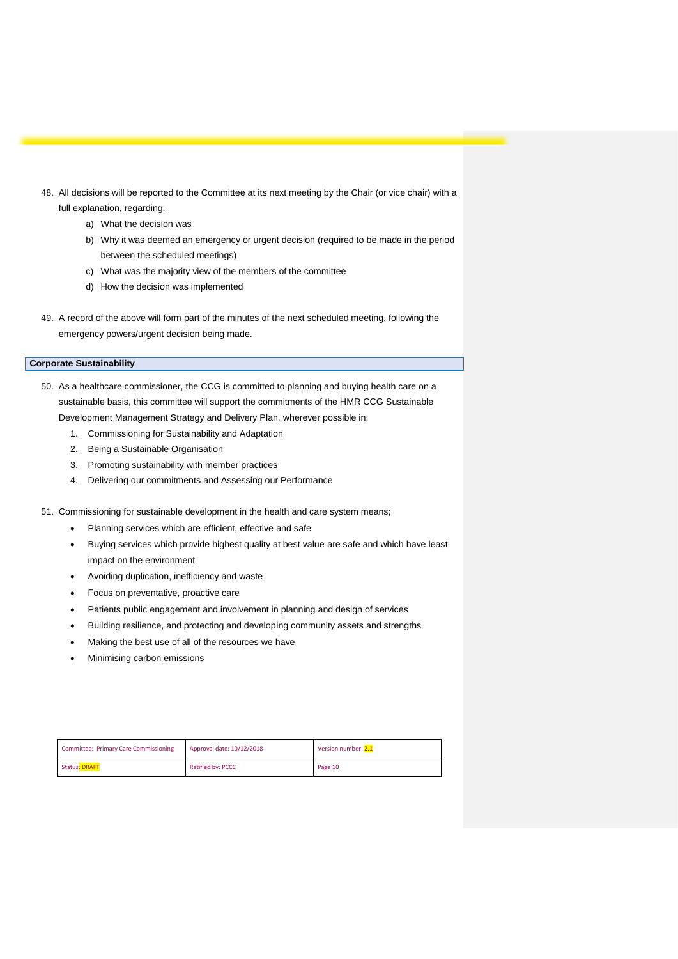- 48. All decisions will be reported to the Committee at its next meeting by the Chair (or vice chair) with a full explanation, regarding:
	- a) What the decision was
	- b) Why it was deemed an emergency or urgent decision (required to be made in the period between the scheduled meetings)
	- c) What was the majority view of the members of the committee
	- d) How the decision was implemented
- 49. A record of the above will form part of the minutes of the next scheduled meeting, following the emergency powers/urgent decision being made.

#### **Corporate Sustainability**

- 50. As a healthcare commissioner, the CCG is committed to planning and buying health care on a sustainable basis, this committee will support the commitments of the HMR CCG Sustainable Development Management Strategy and Delivery Plan, wherever possible in;
	- 1. Commissioning for Sustainability and Adaptation
	- 2. Being a Sustainable Organisation
	- 3. Promoting sustainability with member practices
	- 4. Delivering our commitments and Assessing our Performance
- 51. Commissioning for sustainable development in the health and care system means;
	- Planning services which are efficient, effective and safe
	- Buying services which provide highest quality at best value are safe and which have least impact on the environment
	- Avoiding duplication, inefficiency and waste
	- Focus on preventative, proactive care
	- Patients public engagement and involvement in planning and design of services
	- Building resilience, and protecting and developing community assets and strengths
	- Making the best use of all of the resources we have
	- Minimising carbon emissions

| <b>Committee: Primary Care Commissioning</b> | Approval date: 10/12/2018 | Version number: 2.1 |
|----------------------------------------------|---------------------------|---------------------|
| <b>Status: DRAFT</b>                         | Ratified by: PCCC         | Page 10             |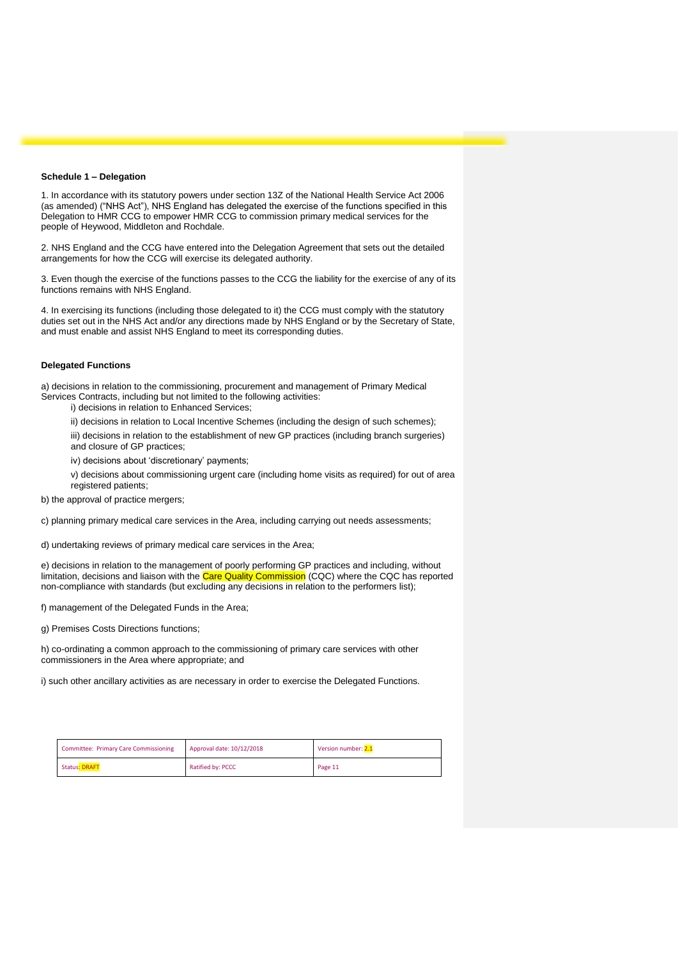#### **Schedule 1 – Delegation**

1. In accordance with its statutory powers under section 13Z of the National Health Service Act 2006 (as amended) ("NHS Act"), NHS England has delegated the exercise of the functions specified in this Delegation to HMR CCG to empower HMR CCG to commission primary medical services for the people of Heywood, Middleton and Rochdale.

2. NHS England and the CCG have entered into the Delegation Agreement that sets out the detailed arrangements for how the CCG will exercise its delegated authority.

3. Even though the exercise of the functions passes to the CCG the liability for the exercise of any of its functions remains with NHS England.

4. In exercising its functions (including those delegated to it) the CCG must comply with the statutory duties set out in the NHS Act and/or any directions made by NHS England or by the Secretary of State, and must enable and assist NHS England to meet its corresponding duties.

#### **Delegated Functions**

a) decisions in relation to the commissioning, procurement and management of Primary Medical Services Contracts, including but not limited to the following activities:

i) decisions in relation to Enhanced Services;

ii) decisions in relation to Local Incentive Schemes (including the design of such schemes);

iii) decisions in relation to the establishment of new GP practices (including branch surgeries) and closure of GP practices;

iv) decisions about 'discretionary' payments;

v) decisions about commissioning urgent care (including home visits as required) for out of area registered patients;

b) the approval of practice mergers;

c) planning primary medical care services in the Area, including carrying out needs assessments;

d) undertaking reviews of primary medical care services in the Area;

e) decisions in relation to the management of poorly performing GP practices and including, without limitation, decisions and liaison with the Care Quality Commission (CQC) where the CQC has reported non-compliance with standards (but excluding any decisions in relation to the performers list);

f) management of the Delegated Funds in the Area;

g) Premises Costs Directions functions;

h) co-ordinating a common approach to the commissioning of primary care services with other commissioners in the Area where appropriate; and

i) such other ancillary activities as are necessary in order to exercise the Delegated Functions.

| <b>Committee: Primary Care Commissioning</b> | Approval date: 10/12/2018 | Version number: 2.1 |
|----------------------------------------------|---------------------------|---------------------|
| <b>Status: DRAFT</b>                         | Ratified by: PCCC         | Page 11             |